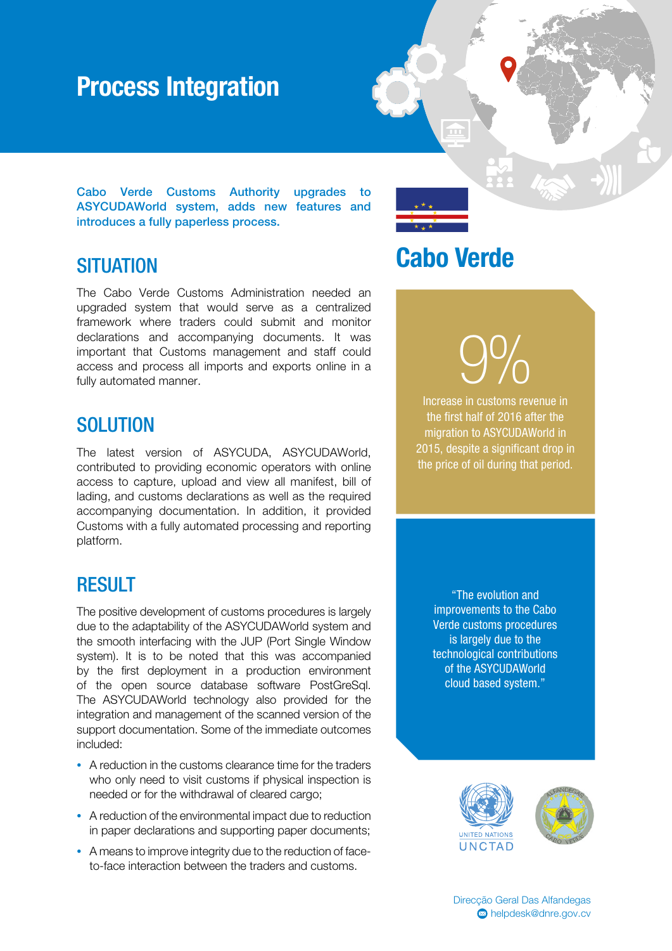### Process Integration

Cabo Verde Customs Authority upgrades to ASYCUDAWorld system, adds new features and introduces a fully paperless process.

#### **SITUATION**

The Cabo Verde Customs Administration needed an upgraded system that would serve as a centralized framework where traders could submit and monitor declarations and accompanying documents. It was important that Customs management and staff could access and process all imports and exports online in a fully automated manner.

#### **SOLUTION**

The latest version of ASYCUDA, ASYCUDAWorld, contributed to providing economic operators with online access to capture, upload and view all manifest, bill of lading, and customs declarations as well as the required accompanying documentation. In addition, it provided Customs with a fully automated processing and reporting platform.

### RESULT

The positive development of customs procedures is largely due to the adaptability of the ASYCUDAWorld system and the smooth interfacing with the JUP (Port Single Window system). It is to be noted that this was accompanied by the first deployment in a production environment of the open source database software PostGreSql. The ASYCUDAWorld technology also provided for the integration and management of the scanned version of the support documentation. Some of the immediate outcomes included:

- A reduction in the customs clearance time for the traders who only need to visit customs if physical inspection is needed or for the withdrawal of cleared cargo;
- A reduction of the environmental impact due to reduction in paper declarations and supporting paper documents;
- A means to improve integrity due to the reduction of faceto-face interaction between the traders and customs.

## Cabo Verde

9%

Increase in customs revenue in the first half of 2016 after the migration to ASYCUDAWorld in 2015, despite a significant drop in the price of oil during that period.

"The evolution and improvements to the Cabo Verde customs procedures is largely due to the technological contributions of the ASYCUDAWorld cloud based system."